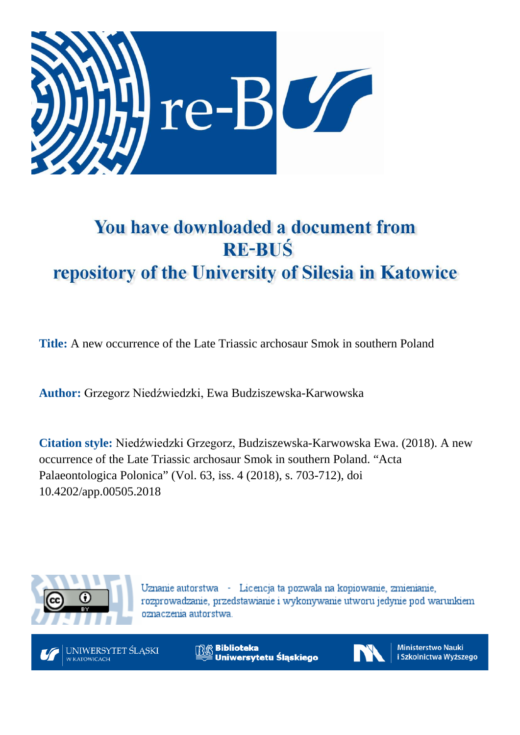

# You have downloaded a document from **RE-BUŚ** repository of the University of Silesia in Katowice

**Title:** A new occurrence of the Late Triassic archosaur Smok in southern Poland

**Author:** Grzegorz Niedźwiedzki, Ewa Budziszewska-Karwowska

**Citation style:** Niedźwiedzki Grzegorz, Budziszewska-Karwowska Ewa. (2018). A new occurrence of the Late Triassic archosaur Smok in southern Poland. "Acta Palaeontologica Polonica" (Vol. 63, iss. 4 (2018), s. 703-712), doi 10.4202/app.00505.2018



Uznanie autorstwa - Licencja ta pozwala na kopiowanie, zmienianie, rozprowadzanie, przedstawianie i wykonywanie utworu jedynie pod warunkiem oznaczenia autorstwa.



**Biblioteka** Uniwersytetu Śląskiego



**Ministerstwo Nauki** i Szkolnictwa Wyższego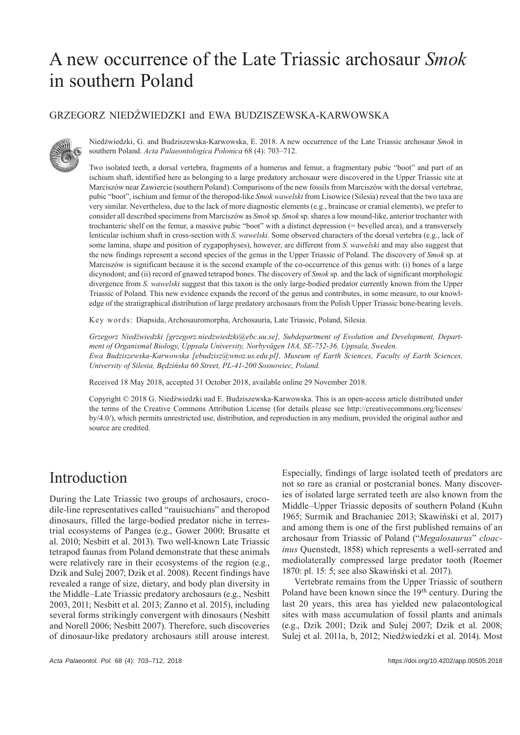## A new occurrence of the Late Triassic archosaur *Smok*  in southern Poland

#### GRZEGORZ NIEDŹWIEDZKI and EWA BUDZISZEWSKA-KARWOWSKA



Niedźwiedzki, G. and Budziszewska-Karwowska, E. 2018. A new occurrence of the Late Triassic archosaur *Smok* in southern Poland. *Acta Palaeontologica Polonica* 68 (4): 703–712.

Two isolated teeth, a dorsal vertebra, fragments of a humerus and femur, a fragmentary pubic "boot" and part of an ischium shaft, identified here as belonging to a large predatory archosaur were discovered in the Upper Triassic site at Marciszów near Zawiercie (southern Poland). Comparisons of the new fossils from Marciszów with the dorsal vertebrae, pubic "boot", ischium and femur of the theropod-like *Smok wawelski* from Lisowice (Silesia) reveal that the two taxa are very similar. Nevertheless, due to the lack of more diagnostic elements (e.g., braincase or cranial elements), we prefer to consider all described specimens from Marciszów as *Smok* sp. *Smok* sp. shares a low mound-like, anterior trochanter with trochanteric shelf on the femur, a massive pubic "boot" with a distinct depression (= bevelled area), and a transversely lenticular ischium shaft in cross-section with *S. wawelski*. Some observed characters of the dorsal vertebra (e.g., lack of some lamina, shape and position of zygapophyses), however, are different from *S. wawelski* and may also suggest that the new findings represent a second species of the genus in the Upper Triassic of Poland. The discovery of *Smok* sp. at Marciszów is significant because it is the second example of the co-occurrence of this genus with: (i) bones of a large dicynodont; and (ii) record of gnawed tetrapod bones. The discovery of *Smok* sp. and the lack of significant morphologic divergence from *S. wawelski* suggest that this taxon is the only large-bodied predator currently known from the Upper Triassic of Poland. This new evidence expands the record of the genus and contributes, in some measure, to our knowledge of the stratigraphical distribution of large predatory archosaurs from the Polish Upper Triassic bone-bearing levels.

Key words: Diapsida, Archosauromorpha, Archosauria, Late Triassic, Poland, Silesia.

*Grzegorz Niedźwiedzki [grzegorz.niedzwiedzki@ebc.uu.se], Subdepartment of Evolution and Development, Department of Organismal Biology, Uppsala University, Norbyvägen 18A, SE-752-36, Uppsala, Sweden. Ewa Budziszewska-Karwowska [ebudzisz@wnoz.us.edu.pl], Museum of Earth Sciences, Faculty of Earth Sciences, University of Silesia, Będzińska 60 Street, PL-41-200 Sosnowiec, Poland.*

Received 18 May 2018, accepted 31 October 2018, available online 29 November 2018.

Copyright © 2018 G. Niedźwiedzki nad E. Budziszewska-Karwowska. This is an open-access article distributed under the terms of the Creative Commons Attribution License (for details please see http://creativecommons.org/licenses/ by/4.0/), which permits unrestricted use, distribution, and reproduction in any medium, provided the original author and source are credited.

### Introduction

During the Late Triassic two groups of archosaurs, crocodile-line representatives called "rauisuchians" and theropod dinosaurs, filled the large-bodied predator niche in terrestrial ecosystems of Pangea (e.g., Gower 2000; Brusatte et al. 2010; Nesbitt et al. 2013). Two well-known Late Triassic tetrapod faunas from Poland demonstrate that these animals were relatively rare in their ecosystems of the region (e.g., Dzik and Sulej 2007; Dzik et al. 2008). Recent findings have revealed a range of size, dietary, and body plan diversity in the Middle–Late Triassic predatory archosaurs (e.g., Nesbitt 2003, 2011; Nesbitt et al. 2013; Zanno et al. 2015), including several forms strikingly convergent with dinosaurs (Nesbitt and Norell 2006; Nesbitt 2007). Therefore, such discoveries of dinosaur-like predatory archosaurs still arouse interest. Especially, findings of large isolated teeth of predators are not so rare as cranial or postcranial bones. Many discoveries of isolated large serrated teeth are also known from the Middle–Upper Triassic deposits of southern Poland (Kuhn 1965; Surmik and Brachaniec 2013; Skawiński et al. 2017) and among them is one of the first published remains of an archosaur from Triassic of Poland ("*Megalosaurus*" *cloacinus* Quenstedt, 1858) which represents a well-serrated and mediolaterally compressed large predator tooth (Roemer 1870: pl. 15: 5; see also Skawiński et al. 2017).

Vertebrate remains from the Upper Triassic of southern Poland have been known since the 19<sup>th</sup> century. During the last 20 years, this area has yielded new palaeontological sites with mass accumulation of fossil plants and animals (e.g., Dzik 2001; Dzik and Sulej 2007; Dzik et al. 2008; Sulej et al. 2011a, b, 2012; Niedźwiedzki et al. 2014). Most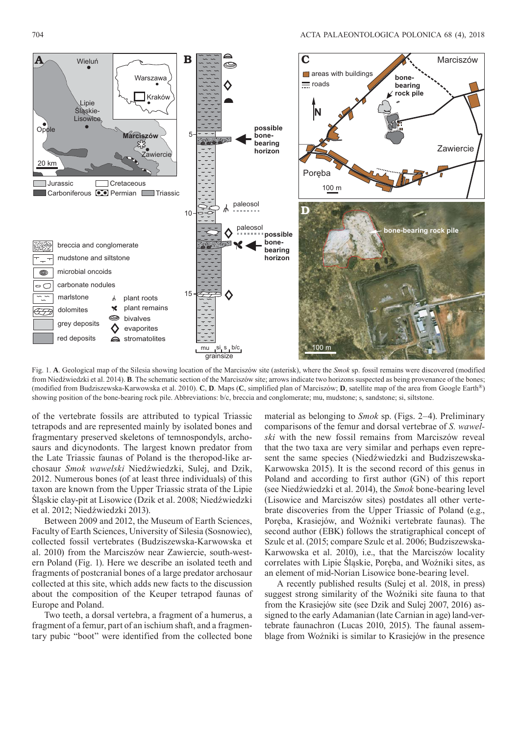

Fig. 1. **A**. Geological map of the Silesia showing location of the Marciszów site (asterisk), where the *Smok* sp. fossil remains were discovered (modified from Niedźwiedzki et al. 2014). **B**. The schematic section of the Marciszów site; arrows indicate two horizons suspected as being provenance of the bones; (modified from Budziszewska-Karwowska et al. 2010). **C**, **D**. Maps (**C**, simplified plan of Marciszów; **D**, satellite map of the area from Google Earth®) showing position of the bone-bearing rock pile. Abbreviations: b/c, breccia and conglomerate; mu, mudstone; s, sandstone; si, siltstone.

of the vertebrate fossils are attributed to typical Triassic tetrapods and are represented mainly by isolated bones and fragmentary preserved skeletons of temnospondyls, archosaurs and dicynodonts. The largest known predator from the Late Triassic faunas of Poland is the theropod-like archosaur *Smok wawelski* Niedźwiedzki, Sulej, and Dzik, 2012. Numerous bones (of at least three individuals) of this taxon are known from the Upper Triassic strata of the Lipie Śląskie clay-pit at Lisowice (Dzik et al. 2008; Niedźwiedzki et al. 2012; Niedźwiedzki 2013).

Between 2009 and 2012, the Museum of Earth Sciences, Faculty of Earth Sciences, University of Silesia (Sosnowiec), collected fossil vertebrates (Budziszewska-Karwowska et al. 2010) from the Marciszów near Zawiercie, south-western Poland (Fig. 1). Here we describe an isolated teeth and fragments of postcranial bones of a large predator archosaur collected at this site, which adds new facts to the discussion about the composition of the Keuper tetrapod faunas of Europe and Poland.

Two teeth, a dorsal vertebra, a fragment of a humerus, a fragment of a femur, part of an ischium shaft, and a fragmentary pubic "boot" were identified from the collected bone material as belonging to *Smok* sp. (Figs. 2–4). Preliminary comparisons of the femur and dorsal vertebrae of *S. wawelski* with the new fossil remains from Marciszów reveal that the two taxa are very similar and perhaps even represent the same species (Niedźwiedzki and Budziszewska-Karwowska 2015). It is the second record of this genus in Poland and according to first author (GN) of this report (see Niedźwiedzki et al. 2014), the *Smok* bone-bearing level (Lisowice and Marciszów sites) postdates all other vertebrate discoveries from the Upper Triassic of Poland (e.g., Poręba, Krasiejów, and Woźniki vertebrate faunas). The second author (EBK) follows the stratigraphical concept of Szulc et al. (2015; compare Szulc et al. 2006; Budziszewska-Karwowska et al. 2010), i.e., that the Marciszów locality correlates with Lipie Śląskie, Poręba, and Woźniki sites, as an element of mid-Norian Lisowice bone-bearing level.

A recently published results (Sulej et al. 2018, in press) suggest strong similarity of the Woźniki site fauna to that from the Krasiejów site (see Dzik and Sulej 2007, 2016) assigned to the early Adamanian (late Carnian in age) land-vertebrate faunachron (Lucas 2010, 2015). The faunal assemblage from Woźniki is similar to Krasiejów in the presence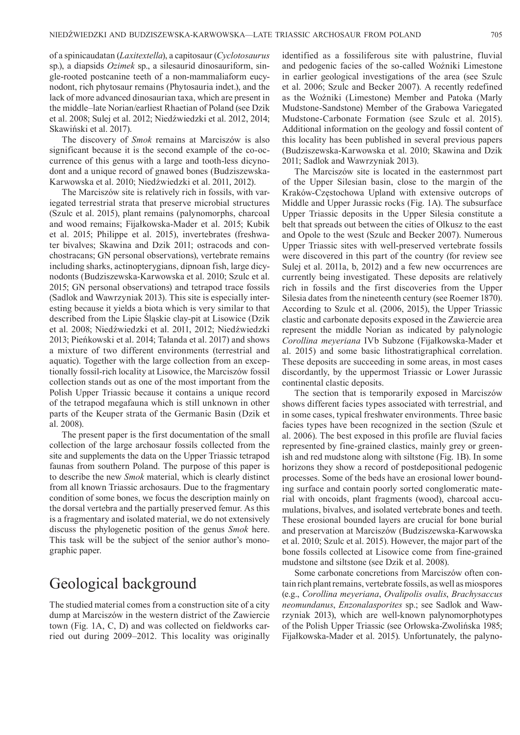of a spinicaudatan (*Laxitextella*), a capitosaur (*Cyclotosaurus* sp.), a diapsids *Ozimek* sp., a silesaurid dinosauriform, single-rooted postcanine teeth of a non-mammaliaform eucynodont, rich phytosaur remains (Phytosauria indet.), and the lack of more advanced dinosaurian taxa, which are present in the middle–late Norian/earliest Rhaetian of Poland (see Dzik et al. 2008; Sulej et al. 2012; Niedźwiedzki et al. 2012, 2014; Skawiński et al. 2017).

The discovery of *Smok* remains at Marciszów is also significant because it is the second example of the co-occurrence of this genus with a large and tooth-less dicynodont and a unique record of gnawed bones (Budziszewska-Karwowska et al. 2010; Niedźwiedzki et al. 2011, 2012).

The Marciszów site is relatively rich in fossils, with variegated terrestrial strata that preserve microbial structures (Szulc et al. 2015), plant remains (palynomorphs, charcoal and wood remains; Fijałkowska-Mader et al. 2015; Kubik et al. 2015; Philippe et al. 2015), invertebrates (freshwater bivalves; Skawina and Dzik 2011; ostracods and conchostracans; GN personal observations), vertebrate remains including sharks, actinopterygians, dipnoan fish, large dicynodonts (Budziszewska-Karwowska et al. 2010; Szulc et al. 2015; GN personal observations) and tetrapod trace fossils (Sadlok and Wawrzyniak 2013). This site is especially interesting because it yields a biota which is very similar to that described from the Lipie Śląskie clay-pit at Lisowice (Dzik et al. 2008; Niedźwiedzki et al. 2011, 2012; Niedźwiedzki 2013; Pieńkowski et al. 2014; Tałanda et al. 2017) and shows a mixture of two different environments (terrestrial and aquatic). Together with the large collection from an exceptionally fossil-rich locality at Lisowice, the Marciszów fossil collection stands out as one of the most important from the Polish Upper Triassic because it contains a unique record of the tetrapod megafauna which is still unknown in other parts of the Keuper strata of the Germanic Basin (Dzik et al. 2008).

The present paper is the first documentation of the small collection of the large archosaur fossils collected from the site and supplements the data on the Upper Triassic tetrapod faunas from southern Poland. The purpose of this paper is to describe the new *Smok* material, which is clearly distinct from all known Triassic archosaurs. Due to the fragmentary condition of some bones, we focus the description mainly on the dorsal vertebra and the partially preserved femur. As this is a fragmentary and isolated material, we do not extensively discuss the phylogenetic position of the genus *Smok* here. This task will be the subject of the senior author's monographic paper.

#### Geological background

The studied material comes from a construction site of a city dump at Marciszów in the western district of the Zawiercie town (Fig. 1A, C, D) and was collected on fieldworks carried out during 2009–2012. This locality was originally identified as a fossiliferous site with palustrine, fluvial and pedogenic facies of the so-called Woźniki Limestone in earlier geological investigations of the area (see Szulc et al. 2006; Szulc and Becker 2007). A recently redefined as the Woźniki (Limestone) Member and Patoka (Marly Mudstone-Sandstone) Member of the Grabowa Variegated Mudstone-Carbonate Formation (see Szulc et al. 2015). Additional information on the geology and fossil content of this locality has been published in several previous papers (Budziszewska-Karwowska et al. 2010; Skawina and Dzik 2011; Sadlok and Wawrzyniak 2013).

The Marciszów site is located in the easternmost part of the Upper Silesian basin, close to the margin of the Kraków-Częstochowa Upland with extensive outcrops of Middle and Upper Jurassic rocks (Fig. 1A). The subsurface Upper Triassic deposits in the Upper Silesia constitute a belt that spreads out between the cities of Olkusz to the east and Opole to the west (Szulc and Becker 2007). Numerous Upper Triassic sites with well-preserved vertebrate fossils were discovered in this part of the country (for review see Sulej et al. 2011a, b, 2012) and a few new occurrences are currently being investigated. These deposits are relatively rich in fossils and the first discoveries from the Upper Silesia dates from the nineteenth century (see Roemer 1870). According to Szulc et al. (2006, 2015), the Upper Triassic clastic and carbonate deposits exposed in the Zawiercie area represent the middle Norian as indicated by palynologic *Corollina meyeriana* IVb Subzone (Fijałkowska-Mader et al. 2015) and some basic lithostratigraphical correlation. These deposits are succeeding in some areas, in most cases discordantly, by the uppermost Triassic or Lower Jurassic continental clastic deposits.

The section that is temporarily exposed in Marciszów shows different facies types associated with terrestrial, and in some cases, typical freshwater environments. Three basic facies types have been recognized in the section (Szulc et al. 2006). The best exposed in this profile are fluvial facies represented by fine-grained clastics, mainly grey or greenish and red mudstone along with siltstone (Fig. 1B). In some horizons they show a record of postdepositional pedogenic processes. Some of the beds have an erosional lower bounding surface and contain poorly sorted conglomeratic material with oncoids, plant fragments (wood), charcoal accumulations, bivalves, and isolated vertebrate bones and teeth. These erosional bounded layers are crucial for bone burial and preservation at Marciszów (Budziszewska-Karwowska et al. 2010; Szulc et al. 2015). However, the major part of the bone fossils collected at Lisowice come from fine-grained mudstone and siltstone (see Dzik et al. 2008).

Some carbonate concretions from Marciszów often contain rich plant remains, vertebrate fossils, as well as miospores (e.g., *Corollina meyeriana*, *Ovalipolis ovalis*, *Brachysaccus neomundanus*, *Enzonalasporites* sp.; see Sadlok and Wawrzyniak 2013), which are well-known palynomorphotypes of the Polish Upper Triassic (see Orłowska-Zwolińska 1985; Fijałkowska-Mader et al. 2015). Unfortunately, the palyno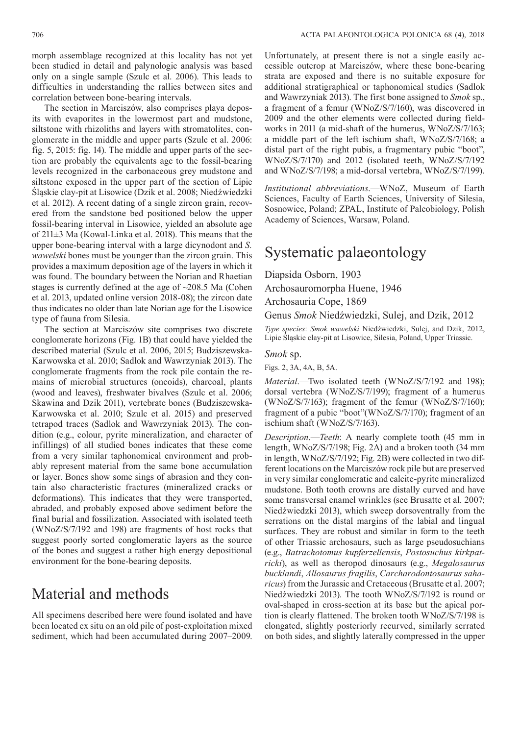morph assemblage recognized at this locality has not yet been studied in detail and palynologic analysis was based only on a single sample (Szulc et al. 2006). This leads to difficulties in understanding the rallies between sites and correlation between bone-bearing intervals.

The section in Marciszów, also comprises playa deposits with evaporites in the lowermost part and mudstone, siltstone with rhizoliths and layers with stromatolites, conglomerate in the middle and upper parts (Szulc et al. 2006: fig. 5, 2015: fig. 14). The middle and upper parts of the section are probably the equivalents age to the fossil-bearing levels recognized in the carbonaceous grey mudstone and siltstone exposed in the upper part of the section of Lipie Śląskie clay-pit at Lisowice (Dzik et al. 2008; Niedźwiedzki et al. 2012). A recent dating of a single zircon grain, recovered from the sandstone bed positioned below the upper fossil-bearing interval in Lisowice, yielded an absolute age of 211±3 Ma (Kowal-Linka et al. 2018). This means that the upper bone-bearing interval with a large dicynodont and *S. wawelski* bones must be younger than the zircon grain. This provides a maximum deposition age of the layers in which it was found. The boundary between the Norian and Rhaetian stages is currently defined at the age of ~208.5 Ma (Cohen et al. 2013, updated online version 2018-08); the zircon date thus indicates no older than late Norian age for the Lisowice type of fauna from Silesia.

The section at Marciszów site comprises two discrete conglomerate horizons (Fig. 1B) that could have yielded the described material (Szulc et al. 2006, 2015; Budziszewska-Karwowska et al. 2010; Sadlok and Wawrzyniak 2013). The conglomerate fragments from the rock pile contain the remains of microbial structures (oncoids), charcoal, plants (wood and leaves), freshwater bivalves (Szulc et al. 2006; Skawina and Dzik 2011), vertebrate bones (Budziszewska-Karwowska et al. 2010; Szulc et al. 2015) and preserved tetrapod traces (Sadlok and Wawrzyniak 2013). The condition (e.g., colour, pyrite mineralization, and character of infillings) of all studied bones indicates that these come from a very similar taphonomical environment and probably represent material from the same bone accumulation or layer. Bones show some sings of abrasion and they contain also characteristic fractures (mineralized cracks or deformations). This indicates that they were transported, abraded, and probably exposed above sediment before the final burial and fossilization. Associated with isolated teeth (WNoZ/S/7/192 and 198) are fragments of host rocks that suggest poorly sorted conglomeratic layers as the source of the bones and suggest a rather high energy depositional environment for the bone-bearing deposits.

### Material and methods

All specimens described here were found isolated and have been located ex situ on an old pile of post-exploitation mixed sediment, which had been accumulated during 2007–2009.

Unfortunately, at present there is not a single easily accessible outcrop at Marciszów, where these bone-bearing strata are exposed and there is no suitable exposure for additional stratigraphical or taphonomical studies (Sadlok and Wawrzyniak 2013). The first bone assigned to *Smok* sp., a fragment of a femur (WNoZ/S/7/160), was discovered in 2009 and the other elements were collected during fieldworks in 2011 (a mid-shaft of the humerus, WNoZ/S/7/163; a middle part of the left ischium shaft, WNoZ/S/7/168; a distal part of the right pubis, a fragmentary pubic "boot", WNoZ/S/7/170) and 2012 (isolated teeth, WNoZ/S/7/192 and WNoZ/S/7/198; a mid-dorsal vertebra, WNoZ/S/7/199).

*Institutional abbreviations*.—WNoZ, Museum of Earth Sciences, Faculty of Earth Sciences, University of Silesia, Sosnowiec, Poland; ZPAL, Institute of Paleobiology, Polish Academy of Sciences, Warsaw, Poland.

### Systematic palaeontology

#### Diapsida Osborn, 1903

Archosauromorpha Huene, 1946 Archosauria Cope, 1869

Genus *Smok* Niedźwiedzki, Sulej, and Dzik, 2012

*Type species*: *Smok wawelski* Niedźwiedzki, Sulej, and Dzik, 2012, Lipie Śląskie clay-pit at Lisowice, Silesia, Poland, Upper Triassic.

#### *Smok* sp.

Figs. 2, 3A, 4A, B, 5A.

*Material*.—Two isolated teeth (WNoZ/S/7/192 and 198); dorsal vertebra (WNoZ/S/7/199); fragment of a humerus (WNoZ/S/7/163); fragment of the femur (WNoZ/S/7/160); fragment of a pubic "boot"(WNoZ/S/7/170); fragment of an ischium shaft (WNoZ/S/7/163).

*Description*.—*Teeth*: A nearly complete tooth (45 mm in length, WNoZ/S/7/198; Fig. 2A) and a broken tooth (34 mm in length, WNoZ/S/7/192; Fig. 2B) were collected in two different locations on the Marciszów rock pile but are preserved in very similar conglomeratic and calcite-pyrite mineralized mudstone. Both tooth crowns are distally curved and have some transversal enamel wrinkles (see Brusatte et al. 2007; Niedźwiedzki 2013), which sweep dorsoventrally from the serrations on the distal margins of the labial and lingual surfaces. They are robust and similar in form to the teeth of other Triassic archosaurs, such as large pseudosuchians (e.g., *Batrachotomus kupferzellensis*, *Postosuchus kirkpatricki*), as well as theropod dinosaurs (e.g., *Megalosaurus buck landi*, *Allosaurus fragilis*, *Carcharodontosaurus saharicus*) from the Jurassic and Cretaceous (Brusatte et al. 2007; Niedźwiedzki 2013). The tooth WNoZ/S/7/192 is round or oval-shaped in cross-section at its base but the apical portion is clearly flattened. The broken tooth WNoZ/S/7/198 is elongated, slightly posteriorly recurved, similarly serrated on both sides, and slightly laterally compressed in the upper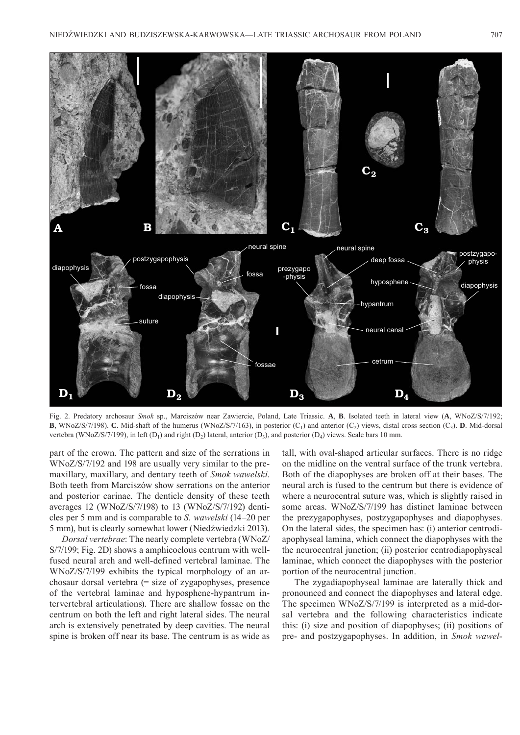

Fig. 2. Predatory archosaur *Smok* sp., Marciszów near Zawiercie, Poland, Late Triassic. **A**, **B**. Isolated teeth in lateral view (**A**, WNoZ/S/7/192; **B**, WNoZ/S/7/198). **C**. Mid-shaft of the humerus (WNoZ/S/7/163), in posterior (C<sub>1</sub>) and anterior (C<sub>2</sub>) views, distal cross section (C<sub>3</sub>). **D**. Mid-dorsal vertebra (WNoZ/S/7/199), in left  $(D_1)$  and right  $(D_2)$  lateral, anterior  $(D_3)$ , and posterior  $(D_4)$  views. Scale bars 10 mm.

part of the crown. The pattern and size of the serrations in WNoZ/S/7/192 and 198 are usually very similar to the premaxillary, maxillary, and dentary teeth of *Smok wawelski*. Both teeth from Marciszów show serrations on the anterior and posterior carinae. The denticle density of these teeth averages 12 (WNoZ/S/7/198) to 13 (WNoZ/S/7/192) denticles per 5 mm and is comparable to *S. wawelski* (14–20 per 5 mm), but is clearly somewhat lower (Niedźwiedzki 2013).

*Dorsal vertebrae*: The nearly complete vertebra (WNoZ/ S/7/199; Fig. 2D) shows a amphicoelous centrum with wellfused neural arch and well-defined vertebral laminae. The WNoZ/S/7/199 exhibits the typical morphology of an archosaur dorsal vertebra (= size of zygapophyses, presence of the vertebral laminae and hyposphene-hypantrum intervertebral articulations). There are shallow fossae on the centrum on both the left and right lateral sides. The neural arch is extensively penetrated by deep cavities. The neural spine is broken off near its base. The centrum is as wide as tall, with oval-shaped articular surfaces. There is no ridge on the midline on the ventral surface of the trunk vertebra. Both of the diapophyses are broken off at their bases. The neural arch is fused to the centrum but there is evidence of where a neurocentral suture was, which is slightly raised in some areas. WNoZ/S/7/199 has distinct laminae between the prezygapophyses, postzygapophyses and diapophyses. On the lateral sides, the specimen has: (i) anterior centrodiapophyseal lamina, which connect the diapophyses with the the neurocentral junction; (ii) posterior centrodiapophyseal laminae, which connect the diapophyses with the posterior portion of the neurocentral junction.

The zygadiapophyseal laminae are laterally thick and pronounced and connect the diapophyses and lateral edge. The specimen WNoZ/S/7/199 is interpreted as a mid-dorsal vertebra and the following characteristics indicate this: (i) size and position of diapophyses; (ii) positions of pre- and postzygapophyses. In addition, in *Smok wawel-*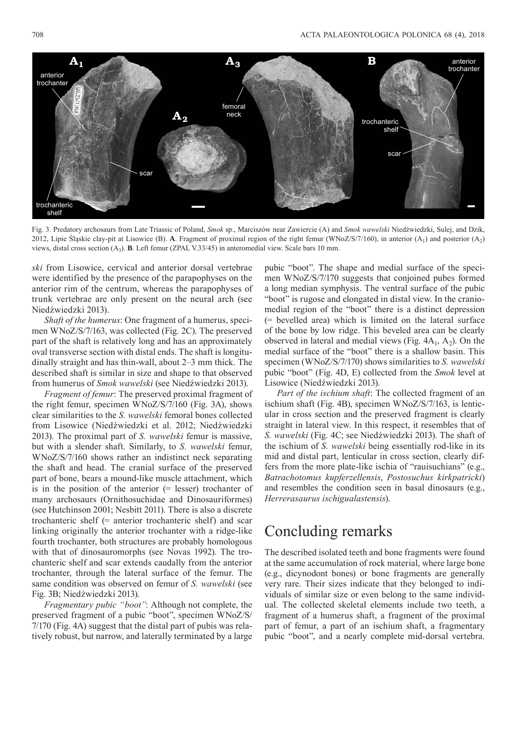

Fig. 3. Predatory archosaurs from Late Triassic of Poland, *Smok* sp., Marciszów near Zawiercie (A) and *Smok wawelski* Niedźwiedzki, Sulej, and Dzik, 2012, Lipie Śląskie clay-pit at Lisowice (B). **A**. Fragment of proximal region of the right femur (WNoZ/S/7/160), in anterior (A<sub>1</sub>) and posterior (A<sub>2</sub>) views, distal cross section (A3). **B**. Left femur (ZPAL V.33/45) in anteromedial view. Scale bars 10 mm.

*ski* from Lisowice, cervical and anterior dorsal vertebrae were identified by the presence of the parapophyses on the anterior rim of the centrum, whereas the parapophyses of trunk vertebrae are only present on the neural arch (see Niedźwiedzki 2013).

*Shaft of the humerus*: One fragment of a humerus, specimen WNoZ/S/7/163, was collected (Fig. 2C). The preserved part of the shaft is relatively long and has an approximately oval transverse section with distal ends. The shaft is longitudinally straight and has thin-wall, about 2–3 mm thick. The described shaft is similar in size and shape to that observed from humerus of *Smok wawelski* (see Niedźwiedzki 2013).

*Fragment of femur*: The preserved proximal fragment of the right femur, specimen WNoZ/S/7/160 (Fig. 3A), shows clear similarities to the *S. wawelski* femoral bones collected from Lisowice (Niedźwiedzki et al. 2012; Niedźwiedzki 2013). The proximal part of *S. wawelski* femur is massive, but with a slender shaft. Similarly, to *S. wawelski* femur, WNoZ/S/7/160 shows rather an indistinct neck separating the shaft and head. The cranial surface of the preserved part of bone, bears a mound-like muscle attachment, which is in the position of the anterior (= lesser) trochanter of many archosaurs (Ornithosuchidae and Dinosauriformes) (see Hutchinson 2001; Nesbitt 2011). There is also a discrete trochanteric shelf (= anterior trochanteric shelf) and scar linking originally the anterior trochanter with a ridge-like fourth trochanter, both structures are probably homologous with that of dinosauromorphs (see Novas 1992). The trochanteric shelf and scar extends caudally from the anterior trochanter, through the lateral surface of the femur. The same condition was observed on femur of *S. wawelski* (see Fig. 3B; Niedźwiedzki 2013).

*Fragmentary pubic "boot"*: Although not complete, the preserved fragment of a pubic "boot", specimen WNoZ/S/ 7/170 (Fig. 4A) suggest that the distal part of pubis was relatively robust, but narrow, and laterally terminated by a large pubic "boot". The shape and medial surface of the specimen WNoZ/S/7/170 suggests that conjoined pubes formed a long median symphysis. The ventral surface of the pubic "boot" is rugose and elongated in distal view. In the craniomedial region of the "boot" there is a distinct depression (= bevelled area) which is limited on the lateral surface of the bone by low ridge. This beveled area can be clearly observed in lateral and medial views (Fig.  $4A_1$ ,  $A_2$ ). On the medial surface of the "boot" there is a shallow basin. This specimen (WNoZ/S/7/170) shows similarities to *S. wawelski* pubic "boot" (Fig. 4D, E) collected from the *Smok* level at Lisowice (Niedźwiedzki 2013).

*Part of the ischium shaft*: The collected fragment of an ischium shaft (Fig. 4B), specimen WNoZ/S/7/163, is lenticular in cross section and the preserved fragment is clearly straight in lateral view. In this respect, it resembles that of *S. wawelski* (Fig. 4C; see Niedźwiedzki 2013). The shaft of the ischium of *S. wawelski* being essentially rod-like in its mid and distal part, lenticular in cross section, clearly differs from the more plate-like ischia of "rauisuchians" (e.g., *Batrachotomus kupferzellensis*, *Postosuchus kirkpatricki*) and resembles the condition seen in basal dinosaurs (e.g., *Herrerasaurus ischigualastensis*).

#### Concluding remarks

The described isolated teeth and bone fragments were found at the same accumulation of rock material, where large bone (e.g., dicynodont bones) or bone fragments are generally very rare. Their sizes indicate that they belonged to individuals of similar size or even belong to the same individual. The collected skeletal elements include two teeth, a fragment of a humerus shaft, a fragment of the proximal part of femur, a part of an ischium shaft, a fragmentary pubic "boot", and a nearly complete mid-dorsal vertebra.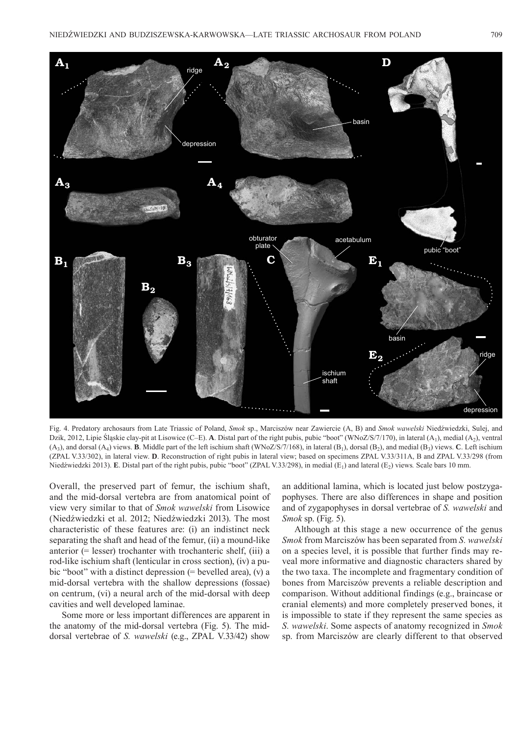

Fig. 4. Predatory archosaurs from Late Triassic of Poland, *Smok* sp., Marciszów near Zawiercie (A, B) and *Smok wawelski* Niedźwiedzki, Sulej, and Dzik, 2012, Lipie Śląskie clay-pit at Lisowice (C–E). **A**. Distal part of the right pubis, pubic "boot" (WNoZ/S/7/170), in lateral (A1), medial (A2), ventral  $(A_3)$ , and dorsal  $(A_4)$  views. **B**. Middle part of the left ischium shaft (WNoZ/S/7/168), in lateral  $(B_1)$ , dorsal  $(B_2)$ , and medial  $(B_3)$  views. **C**. Left ischium (ZPAL V.33/302), in lateral view. **D**. Reconstruction of right pubis in lateral view; based on specimens ZPAL V.33/311A, B and ZPAL V.33/298 (from Niedźwiedzki 2013). **E**. Distal part of the right pubis, pubic "boot" (ZPAL V.33/298), in medial (E<sub>1</sub>) and lateral (E<sub>2</sub>) views. Scale bars 10 mm.

Overall, the preserved part of femur, the ischium shaft, and the mid-dorsal vertebra are from anatomical point of view very similar to that of *Smok wawelski* from Lisowice (Niedźwiedzki et al. 2012; Niedźwiedzki 2013). The most characteristic of these features are: (i) an indistinct neck separating the shaft and head of the femur, (ii) a mound-like anterior (= lesser) trochanter with trochanteric shelf, (iii) a rod-like ischium shaft (lenticular in cross section), (iv) a pubic "boot" with a distinct depression  $(=$  bevelled area),  $(v)$  a mid-dorsal vertebra with the shallow depressions (fossae) on centrum, (vi) a neural arch of the mid-dorsal with deep cavities and well developed laminae.

Some more or less important differences are apparent in the anatomy of the mid-dorsal vertebra (Fig. 5). The middorsal vertebrae of *S. wawelski* (e.g., ZPAL V.33/42) show an additional lamina, which is located just below postzygapophyses. There are also differences in shape and position and of zygapophyses in dorsal vertebrae of *S. wawelski* and *Smok* sp. (Fig. 5).

Although at this stage a new occurrence of the genus *Smok* from Marciszów has been separated from *S. wawelski*  on a species level, it is possible that further finds may reveal more informative and diagnostic characters shared by the two taxa. The incomplete and fragmentary condition of bones from Marciszów prevents a reliable description and comparison. Without additional findings (e.g., braincase or cranial elements) and more completely preserved bones, it is impossible to state if they represent the same species as *S. wawelski*. Some aspects of anatomy recognized in *Smok* sp. from Marciszów are clearly different to that observed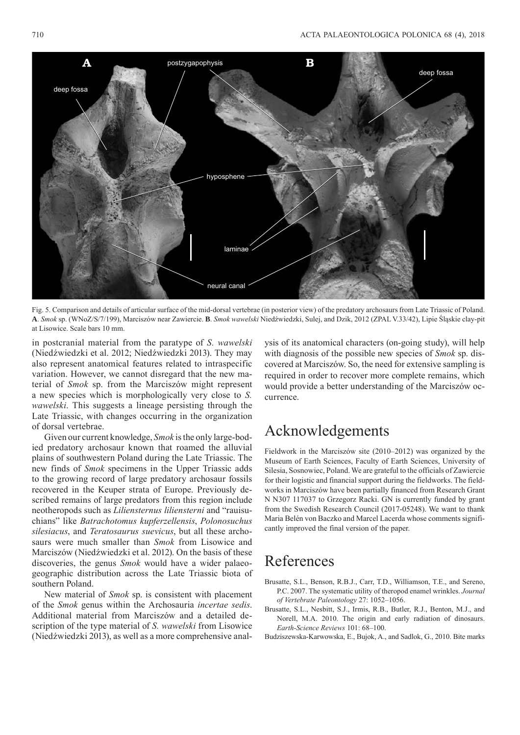

Fig. 5. Comparison and details of articular surface of the mid-dorsal vertebrae (in posterior view) of the predatory archosaurs from Late Triassic of Poland. **A**. *Smok* sp. (WNoZ/S/7/199), Marciszów near Zawiercie. **B**. *Smok wawelski* Niedźwiedzki, Sulej, and Dzik, 2012 (ZPAL V.33/42), Lipie Śląskie clay-pit at Lisowice. Scale bars 10 mm.

in postcranial material from the paratype of *S. wawelski* (Niedźwiedzki et al. 2012; Niedźwiedzki 2013). They may also represent anatomical features related to intraspecific variation. However, we cannot disregard that the new material of *Smok* sp. from the Marciszów might represent a new species which is morphologically very close to *S. wawelski*. This suggests a lineage persisting through the Late Triassic, with changes occurring in the organization of dorsal vertebrae.

Given our current knowledge, *Smok* is the only large-bodied predatory archosaur known that roamed the alluvial plains of southwestern Poland during the Late Triassic. The new finds of *Smok* specimens in the Upper Triassic adds to the growing record of large predatory archosaur fossils recovered in the Keuper strata of Europe. Previously described remains of large predators from this region include neotheropods such as *Liliensternus liliensterni* and "rauisuchians" like *Batrachotomus kupferzellensis*, *Polonosuchus silesiacus*, and *Teratosaurus suevicus*, but all these archosaurs were much smaller than *Smok* from Lisowice and Marciszów (Niedźwiedzki et al. 2012). On the basis of these discoveries, the genus *Smok* would have a wider palaeogeographic distribution across the Late Triassic biota of southern Poland.

New material of *Smok* sp. is consistent with placement of the *Smok* genus within the Archosauria *incertae sedis*. Additional material from Marciszów and a detailed description of the type material of *S. wawelski* from Lisowice (Niedźwiedzki 2013), as well as a more comprehensive analysis of its anatomical characters (on-going study), will help with diagnosis of the possible new species of *Smok* sp. discovered at Marciszów. So, the need for extensive sampling is required in order to recover more complete remains, which would provide a better understanding of the Marciszów occurrence.

#### Acknowledgements

Fieldwork in the Marciszów site (2010–2012) was organized by the Museum of Earth Sciences, Faculty of Earth Sciences, University of Silesia, Sosnowiec, Poland. We are grateful to the officials of Zawiercie for their logistic and financial support during the fieldworks. The fieldworks in Marciszów have been partially financed from Research Grant N N307 117037 to Grzegorz Racki. GN is currently funded by grant from the Swedish Research Council (2017-05248). We want to thank Maria Belén von Baczko and Marcel Lacerda whose comments significantly improved the final version of the paper.

#### References

- Brusatte, S.L., Benson, R.B.J., Carr, T.D., Williamson, T.E., and Sereno, P.C. 2007. The systematic utility of theropod enamel wrinkles. *Journal of Vertebrate Paleontology* 27: 1052–1056.
- Brusatte, S.L., Nesbitt, S.J., Irmis, R.B., Butler, R.J., Benton, M.J., and Norell, M.A. 2010. The origin and early radiation of dinosaurs. *Earth-Science Reviews* 101: 68–100.
- Budziszewska-Karwowska, E., Bujok, A., and Sadlok, G., 2010. Bite marks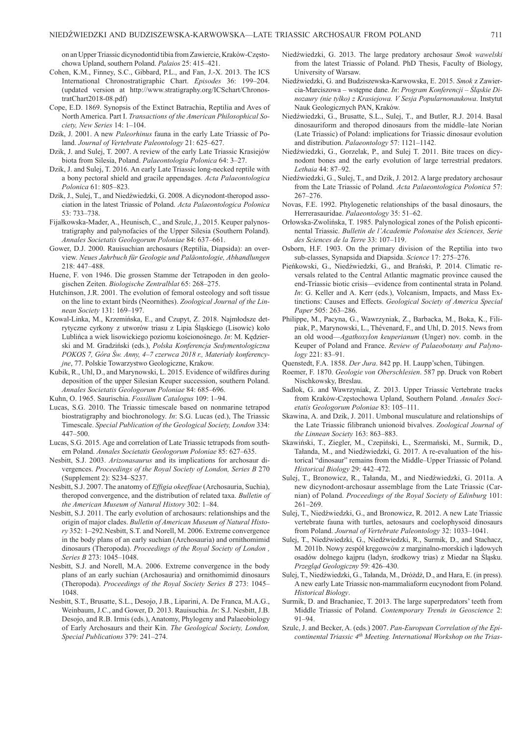on an Upper Triassic dicynodontid tibia from Zawiercie, Kraków-Częstochowa Upland, southern Poland. *Palaios* 25: 415–421.

- Cohen, K.M., Finney, S.C., Gibbard, P.L., and Fan, J.-X. 2013. The ICS International Chronostratigraphic Chart. *Episodes* 36: 199–204. (updated version at http://www.stratigraphy.org/ICSchart/ChronostratChart2018-08.pdf)
- Cope, E.D. 1869. Synopsis of the Extinct Batrachia, Reptilia and Aves of North America. Part I. *Transactions of the American Philosophical Society, New Series* 14: 1–104.
- Dzik, J. 2001. A new *Paleorhinus* fauna in the early Late Triassic of Poland. *Journal of Vertebrate Paleontology* 21: 625–627.
- Dzik, J. and Sulej, T. 2007. A review of the early Late Triassic Krasiejów biota from Silesia, Poland. *Palaeontologia Polonica* 64: 3–27.
- Dzik, J. and Sulej, T. 2016. An early Late Triassic long-necked reptile with a bony pectoral shield and gracile appendages. *Acta Palaeontologica Polonica* 61: 805–823.
- Dzik, J., Sulej, T., and Niedźwiedzki, G. 2008. A dicynodont-theropod association in the latest Triassic of Poland. *Acta Palaeontologica Polonica* 53: 733–738.
- Fijałkowska-Mader, A., Heunisch, C., and Szulc, J., 2015. Keuper palynostratigraphy and palynofacies of the Upper Silesia (Southern Poland). *Annales Societatis Geologorum Poloniae* 84: 637–661.
- Gower, D.J. 2000. Rauisuchian archosaurs (Reptilia, Diapsida): an overview. *Neues Jahrbuch für Geologie und Paläontologie, Abhandlungen* 218: 447–488.
- Huene, F. von 1946. Die grossen Stamme der Tetrapoden in den geologischen Zeiten. *Biologische Zentralblat* 65: 268–275.
- Hutchinson, J.R. 2001. The evolution of femoral osteology and soft tissue on the line to extant birds (Neornithes). *Zoological Journal of the Linnean Society* 131: 169–197.
- Kowal-Linka, M., Krzemińska, E., and Czupyt, Z. 2018. Najmłodsze detrytyczne cyrkony z utworów triasu z Lipia Śląskiego (Lisowic) koło Lublińca a wiek lisowickiego poziomu kościonośnego. *In*: M. Kędzierski and M. Gradziński (eds.), *Polska Konferencja Sedymentologiczna POKOS 7, Góra Św. Anny, 4–7 czerwca 2018 r., Materiały konferencyjne*, 77. Polskie Towarzystwo Geologiczne, Krakow.
- Kubik, R., Uhl, D., and Marynowski, L. 2015. Evidence of wildfires during deposition of the upper Silesian Keuper succession, southern Poland. *Annales Societatis Geologorum Poloniae* 84: 685–696.

Kuhn, O. 1965. Saurischia. *Fossilium Catalogus* 109: 1–94.

- Lucas, S.G. 2010. The Triassic timescale based on nonmarine tetrapod biostratigraphy and biochronology. *In*: S.G. Lucas (ed.), The Triassic Timescale. *Special Publication of the Geological Society, London* 334: 447–500.
- Lucas, S.G. 2015. Age and correlation of Late Triassic tetrapods from southern Poland. *Annales Societatis Geologorum Poloniae* 85: 627–635.
- Nesbitt, S.J. 2003. *Arizonasaurus* and its implications for archosaur divergences. *Proceedings of the Royal Society of London, Series B* 270 (Supplement 2): S234–S237.
- Nesbitt, S.J. 2007. The anatomy of *Effigia okeeffeae* (Archosauria, Suchia), theropod convergence, and the distribution of related taxa. *Bulletin of the American Museum of Natural History* 302: 1–84.
- Nesbitt, S.J. 2011. The early evolution of archosaurs: relationships and the origin of major clades. *Bulletin of American Museum of Natural History* 352: 1–292.Nesbitt, S.T. and Norell, M. 2006. Extreme convergence in the body plans of an early suchian (Archosauria) and ornithomimid dinosaurs (Theropoda). *Proceedings of the Royal Society of London , Series B* 273: 1045–1048.
- Nesbitt, S.J. and Norell, M.A. 2006. Extreme convergence in the body plans of an early suchian (Archosauria) and ornithomimid dinosaurs (Thero poda). *Proceedings of the Royal Society Series B* 273: 1045– 1048.
- Nesbitt, S.T., Brusatte, S.L., Desojo, J.B., Liparini, A. De Franca, M.A.G., Weinbaum, J.C., and Gower, D. 2013. Rauisuchia. *In*: S.J. Nesbitt, J.B. Desojo, and R.B. Irmis (eds.), Anatomy, Phylogeny and Palaeobiology of Early Archosaurs and their Kin. *The Geological Society, London, Special Publications* 379: 241–274.
- Niedźwiedzki, G. 2013. The large predatory archosaur *Smok wawelski* from the latest Triassic of Poland. PhD Thesis, Faculty of Biology, University of Warsaw.
- Niedźwiedzki, G. and Budziszewska-Karwowska, E. 2015. *Smok* z Zawiercia-Marciszowa – wstępne dane. *In*: *Program Konferencji – Śląskie Dinozaury (nie tylko) z Krasiejowa. V Sesja Popularnonaukowa*. Instytut Nauk Geologicznych PAN, Kraków.
- Niedźwiedzki, G., Brusatte, S.L., Sulej, T., and Butler, R.J. 2014. Basal dinosauriform and theropod dinosaurs from the middle–late Norian (Late Triassic) of Poland: implications for Triassic dinosaur evolution and distribution. *Palaeontology* 57: 1121–1142.
- Niedźwiedzki, G., Gorzelak, P., and Sulej T. 2011. Bite traces on dicynodont bones and the early evolution of large terrestrial predators. *Lethaia* 44: 87–92.
- Niedźwiedzki, G., Sulej, T., and Dzik, J. 2012. A large predatory archosaur from the Late Triassic of Poland. *Acta Palaeontologica Polonica* 57: 267–276.
- Novas, F.E. 1992. Phylogenetic relationships of the basal dinosaurs, the Herrerasauridae. *Palaeontology* 35: 51–62.
- Orłowska-Zwolińska, T. 1985. Palynological zones of the Polish epicontinental Triassic. *Bulletin de l'Academie Polonaise des Sciences, Serie des Sciences de la Terre* 33: 107–119.
- Osborn, H.F. 1903. On the primary division of the Reptilia into two sub-classes, Synapsida and Diapsida. *Science* 17: 275–276.
- Pieńkowski, G., Niedźwiedzki, G., and Brański, P. 2014. Climatic reversals related to the Central Atlantic magmatic province caused the end-Triassic biotic crisis—evidence from continental strata in Poland. *In*: G. Keller and A. Kerr (eds.), Volcanism, Impacts, and Mass Extinctions: Causes and Effects. *Geological Society of America Special Paper* 505: 263–286.
- Philippe, M., Pacyna, G., Wawrzyniak, Z., Barbacka, M., Boka, K., Filipiak, P., Marynowski, L., Thévenard, F., and Uhl, D. 2015. News from an old wood—*Agathoxylon keuperianum* (Unger) nov. comb. in the Keuper of Poland and France. *Review of Palaeobotany and Palynology* 221: 83–91.
- Quenstedt, F.A. 1858. *Der Jura*. 842 pp. H. Laupp'schen, Tübingen.
- Roemer, F. 1870. *Geologie von Oberschlesien*. 587 pp. Druck von Robert Nischkowsky, Breslau.
- Sadlok, G. and Wawrzyniak, Z. 2013. Upper Triassic Vertebrate tracks from Kraków-Częstochowa Upland, Southern Poland. *Annales Societatis Geologorum Poloniae* 83: 105–111.
- Skawina, A. and Dzik, J. 2011. Umbonal musculature and relationships of the Late Triassic filibranch unionoid bivalves. *Zoological Journal of the Linnean Society* 163: 863–883.
- Skawiński, T., Ziegler, M., Czepiński, Ł., Szermański, M., Surmik, D., Tałanda, M., and Niedźwiedzki, G. 2017. A re-evaluation of the historical "dinosaur" remains from the Middle–Upper Triassic of Poland*. Historical Biology* 29: 442–472.
- Sulej, T., Bronowicz, R., Tałanda, M., and Niedźwiedzki, G. 2011a. A new dicynodont-archosaur assemblage from the Late Triassic (Carnian) of Poland. *Proceedings of the Royal Society of Edinburg* 101: 261–269.
- Sulej, T., Niedźwiedzki, G., and Bronowicz, R. 2012. A new Late Triassic vertebrate fauna with turtles, aetosaurs and coelophysoid dinosaurs from Poland. *Journal of Vertebrate Paleontology* 32: 1033–1041.
- Sulej, T., Niedźwiedzki, G., Niedźwiedzki, R., Surmik, D., and Stachacz, M. 2011b. Nowy zespół kręgowców z marginalno-morskich i lądowych osadów dolnego kajpru (ladyn, środkowy trias) z Miedar na Śląsku. *Przegląd Geologiczny* 59: 426–430.
- Sulej, T., Niedźwiedzki, G., Tałanda, M., Dróżdż, D., and Hara, E. (in press). A new early Late Triassic non-mammaliaform eucynodont from Poland. *Historical Biology*.
- Surmik, D. and Brachaniec, T. 2013. The large superpredators' teeth from Middle Triassic of Poland. *Contemporary Trends in Geoscience* 2: 91–94.
- Szulc, J. and Becker, A. (eds.) 2007. *Pan-European Correlation of the Epicontinental Triassic 4th Meeting. International Workshop on the Trias-*